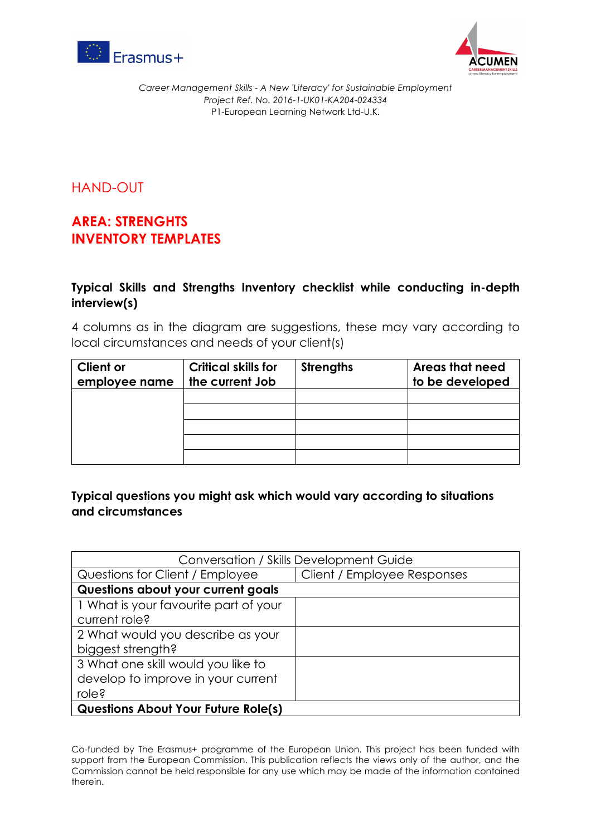



*Career Management Skills - A New 'Literacy' for Sustainable Employment Project Ref. No. 2016-1-UK01-KA204-024334* P1-European Learning Network Ltd-U.K.

HAND-OUT

## **AREA: STRENGHTS INVENTORY TEMPLATES**

## **Typical Skills and Strengths Inventory checklist while conducting in-depth interview(s)**

4 columns as in the diagram are suggestions, these may vary according to local circumstances and needs of your client(s)

| <b>Client or</b><br>employee name | <b>Critical skills for</b><br>the current Job | <b>Strengths</b> | <b>Areas that need</b><br>to be developed |
|-----------------------------------|-----------------------------------------------|------------------|-------------------------------------------|
|                                   |                                               |                  |                                           |
|                                   |                                               |                  |                                           |
|                                   |                                               |                  |                                           |
|                                   |                                               |                  |                                           |
|                                   |                                               |                  |                                           |

## **Typical questions you might ask which would vary according to situations and circumstances**

| Conversation / Skills Development Guide    |                             |  |  |
|--------------------------------------------|-----------------------------|--|--|
| Questions for Client / Employee            | Client / Employee Responses |  |  |
| Questions about your current goals         |                             |  |  |
| 1 What is your favourite part of your      |                             |  |  |
| current role?                              |                             |  |  |
| 2 What would you describe as your          |                             |  |  |
| biggest strength?                          |                             |  |  |
| 3 What one skill would you like to         |                             |  |  |
| develop to improve in your current         |                             |  |  |
| role?                                      |                             |  |  |
| <b>Questions About Your Future Role(s)</b> |                             |  |  |

Co-funded by The Erasmus+ programme of the European Union. This project has been funded with support from the European Commission. This publication reflects the views only of the author, and the Commission cannot be held responsible for any use which may be made of the information contained therein.